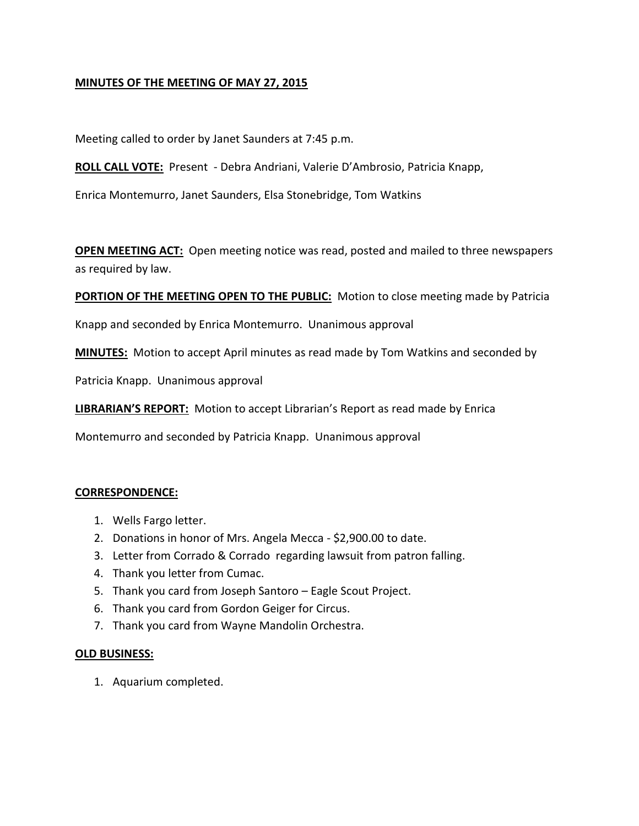# **MINUTES OF THE MEETING OF MAY 27, 2015**

Meeting called to order by Janet Saunders at 7:45 p.m.

**ROLL CALL VOTE:** Present - Debra Andriani, Valerie D'Ambrosio, Patricia Knapp,

Enrica Montemurro, Janet Saunders, Elsa Stonebridge, Tom Watkins

**OPEN MEETING ACT:** Open meeting notice was read, posted and mailed to three newspapers as required by law.

**PORTION OF THE MEETING OPEN TO THE PUBLIC:** Motion to close meeting made by Patricia

Knapp and seconded by Enrica Montemurro. Unanimous approval

**MINUTES:** Motion to accept April minutes as read made by Tom Watkins and seconded by

Patricia Knapp. Unanimous approval

**LIBRARIAN'S REPORT:** Motion to accept Librarian's Report as read made by Enrica

Montemurro and seconded by Patricia Knapp. Unanimous approval

## **CORRESPONDENCE:**

- 1. Wells Fargo letter.
- 2. Donations in honor of Mrs. Angela Mecca \$2,900.00 to date.
- 3. Letter from Corrado & Corrado regarding lawsuit from patron falling.
- 4. Thank you letter from Cumac.
- 5. Thank you card from Joseph Santoro Eagle Scout Project.
- 6. Thank you card from Gordon Geiger for Circus.
- 7. Thank you card from Wayne Mandolin Orchestra.

#### **OLD BUSINESS:**

1. Aquarium completed.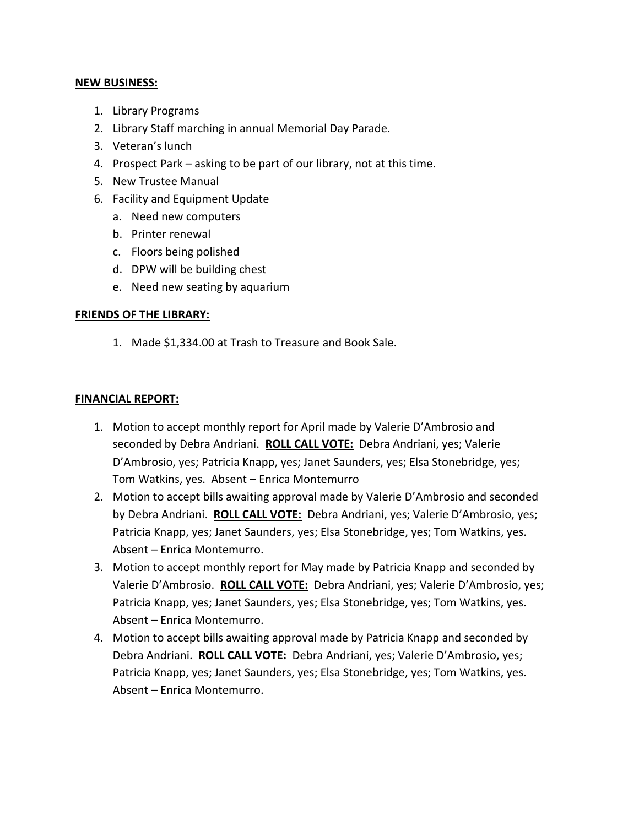### **NEW BUSINESS:**

- 1. Library Programs
- 2. Library Staff marching in annual Memorial Day Parade.
- 3. Veteran's lunch
- 4. Prospect Park asking to be part of our library, not at this time.
- 5. New Trustee Manual
- 6. Facility and Equipment Update
	- a. Need new computers
	- b. Printer renewal
	- c. Floors being polished
	- d. DPW will be building chest
	- e. Need new seating by aquarium

## **FRIENDS OF THE LIBRARY:**

1. Made \$1,334.00 at Trash to Treasure and Book Sale.

## **FINANCIAL REPORT:**

- 1. Motion to accept monthly report for April made by Valerie D'Ambrosio and seconded by Debra Andriani. **ROLL CALL VOTE:** Debra Andriani, yes; Valerie D'Ambrosio, yes; Patricia Knapp, yes; Janet Saunders, yes; Elsa Stonebridge, yes; Tom Watkins, yes. Absent – Enrica Montemurro
- 2. Motion to accept bills awaiting approval made by Valerie D'Ambrosio and seconded by Debra Andriani. **ROLL CALL VOTE:** Debra Andriani, yes; Valerie D'Ambrosio, yes; Patricia Knapp, yes; Janet Saunders, yes; Elsa Stonebridge, yes; Tom Watkins, yes. Absent – Enrica Montemurro.
- 3. Motion to accept monthly report for May made by Patricia Knapp and seconded by Valerie D'Ambrosio. **ROLL CALL VOTE:** Debra Andriani, yes; Valerie D'Ambrosio, yes; Patricia Knapp, yes; Janet Saunders, yes; Elsa Stonebridge, yes; Tom Watkins, yes. Absent – Enrica Montemurro.
- 4. Motion to accept bills awaiting approval made by Patricia Knapp and seconded by Debra Andriani. **ROLL CALL VOTE:** Debra Andriani, yes; Valerie D'Ambrosio, yes; Patricia Knapp, yes; Janet Saunders, yes; Elsa Stonebridge, yes; Tom Watkins, yes. Absent – Enrica Montemurro.